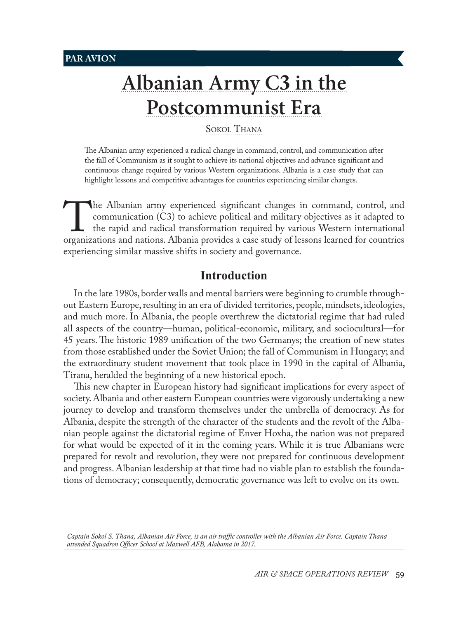# **[Albanian Army C](#page-0-0)3 in the [Postcommunist Era](#page-0-0)**

SOKOL THANA

The Albanian army experienced a radical change in command, control, and communication after the fall of Communism as it sought to achieve its national objectives and advance significant and continuous change required by various Western organizations. Albania is a case study that can highlight lessons and competitive advantages for countries experiencing similar changes.

The Albanian army experienced significant changes in command, control, and communication (C3) to achieve political and military objectives as it adapted to the rapid and radical transformation required by various Western i communication (C3) to achieve political and military objectives as it adapted to the rapid and radical transformation required by various Western international organizations and nations. Albania provides a case study of lessons learned for countries experiencing similar massive shifts in society and governance.

# **Introduction**

In the late 1980s, border walls and mental barriers were beginning to crumble throughout Eastern Europe, resulting in an era of divided territories, people, mindsets, ideologies, and much more. In Albania, the people overthrew the dictatorial regime that had ruled all aspects of the country—human, political-economic, military, and sociocultural—for 45 years. The historic 1989 unification of the two Germanys; the creation of new states from those established under the Soviet Union; the fall of Communism in Hungary; and the extraordinary student movement that took place in 1990 in the capital of Albania, Tirana, heralded the beginning of a new historical epoch.

This new chapter in European history had significant implications for every aspect of society. Albania and other eastern European countries were vigorously undertaking a new journey to develop and transform themselves under the umbrella of democracy. As for Albania, despite the strength of the character of the students and the revolt of the Albanian people against the dictatorial regime of Enver Hoxha, the nation was not prepared for what would be expected of it in the coming years. While it is true Albanians were prepared for revolt and revolution, they were not prepared for continuous development and progress. Albanian leadership at that time had no viable plan to establish the foundations of democracy; consequently, democratic governance was left to evolve on its own.

<span id="page-0-0"></span>*Captain Sokol S. Thana, Albanian Air Force, is an air traffic controller with the Albanian Air Force. Captain Thana attended Squadron Officer School at Maxwell AFB, Alabama in 2017.*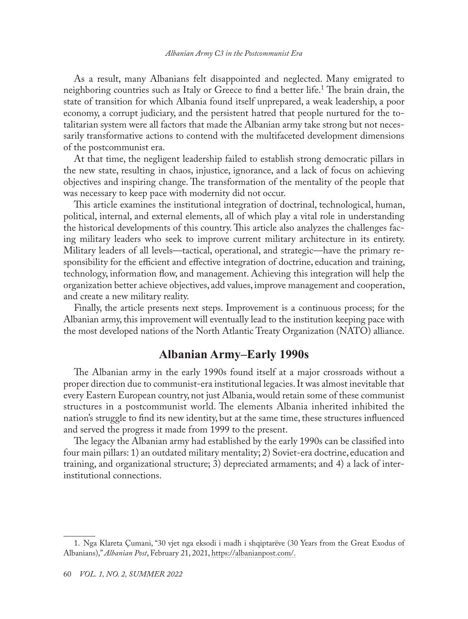As a result, many Albanians felt disappointed and neglected. Many emigrated to neighboring countries such as Italy or Greece to find a better life.<sup>1</sup> The brain drain, the state of transition for which Albania found itself unprepared, a weak leadership, a poor economy, a corrupt judiciary, and the persistent hatred that people nurtured for the totalitarian system were all factors that made the Albanian army take strong but not necessarily transformative actions to contend with the multifaceted development dimensions of the postcommunist era.

At that time, the negligent leadership failed to establish strong democratic pillars in the new state, resulting in chaos, injustice, ignorance, and a lack of focus on achieving objectives and inspiring change. The transformation of the mentality of the people that was necessary to keep pace with modernity did not occur.

This article examines the institutional integration of doctrinal, technological, human, political, internal, and external elements, all of which play a vital role in understanding the historical developments of this country. This article also analyzes the challenges facing military leaders who seek to improve current military architecture in its entirety. Military leaders of all levels—tactical, operational, and strategic—have the primary responsibility for the efficient and effective integration of doctrine, education and training, technology, information flow, and management. Achieving this integration will help the organization better achieve objectives, add values, improve management and cooperation, and create a new military reality.

Finally, the article presents next steps. Improvement is a continuous process; for the Albanian army, this improvement will eventually lead to the institution keeping pace with the most developed nations of the North Atlantic Treaty Organization (NATO) alliance.

# **Albanian Army–Early 1990s**

The Albanian army in the early 1990s found itself at a major crossroads without a proper direction due to communist-era institutional legacies. It was almost inevitable that every Eastern European country, not just Albania, would retain some of these communist structures in a postcommunist world. The elements Albania inherited inhibited the nation's struggle to find its new identity, but at the same time, these structures influenced and served the progress it made from 1999 to the present.

The legacy the Albanian army had established by the early 1990s can be classified into four main pillars: 1) an outdated military mentality; 2) Soviet-era doctrine, education and training, and organizational structure; 3) depreciated armaments; and 4) a lack of interinstitutional connections.

<sup>1.</sup> Nga [Klareta Çumani,](https://albanianpost.com/author/klareta-cumani/) "30 vjet nga eksodi i madh i shqiptarëve (30 Years from the Great Exodus of Albanians)," *Albanian Post*, February 21, 2021, [https://albanianpost.com/](https://albanianpost.com/30-vjet-nga-eksodi-i-madh-i-shqiptareve/).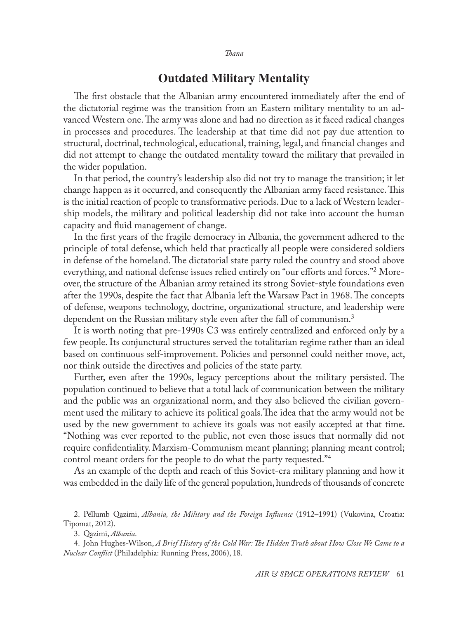#### *Thana*

# **Outdated Military Mentality**

The first obstacle that the Albanian army encountered immediately after the end of the dictatorial regime was the transition from an Eastern military mentality to an advanced Western one. The army was alone and had no direction as it faced radical changes in processes and procedures. The leadership at that time did not pay due attention to structural, doctrinal, technological, educational, training, legal, and financial changes and did not attempt to change the outdated mentality toward the military that prevailed in the wider population.

In that period, the country's leadership also did not try to manage the transition; it let change happen as it occurred, and consequently the Albanian army faced resistance. This is the initial reaction of people to transformative periods. Due to a lack of Western leadership models, the military and political leadership did not take into account the human capacity and fluid management of change.

In the first years of the fragile democracy in Albania, the government adhered to the principle of total defense, which held that practically all people were considered soldiers in defense of the homeland. The dictatorial state party ruled the country and stood above everything, and national defense issues relied entirely on "our efforts and forces."<sup>2</sup> Moreover, the structure of the Albanian army retained its strong Soviet-style foundations even after the 1990s, despite the fact that Albania left the Warsaw Pact in 1968. The concepts of defense, weapons technology, doctrine, organizational structure, and leadership were dependent on the Russian military style even after the fall of communism.<sup>3</sup>

It is worth noting that pre-1990s C3 was entirely centralized and enforced only by a few people. Its conjunctural structures served the totalitarian regime rather than an ideal based on continuous self-improvement. Policies and personnel could neither move, act, nor think outside the directives and policies of the state party.

Further, even after the 1990s, legacy perceptions about the military persisted. The population continued to believe that a total lack of communication between the military and the public was an organizational norm, and they also believed the civilian government used the military to achieve its political goals.The idea that the army would not be used by the new government to achieve its goals was not easily accepted at that time. "Nothing was ever reported to the public, not even those issues that normally did not require confidentiality. Marxism-Communism meant planning; planning meant control; control meant orders for the people to do what the party requested."4

As an example of the depth and reach of this Soviet-era military planning and how it was embedded in the daily life of the general population, hundreds of thousands of concrete

<sup>2.</sup> Pëllumb Qazimi, *Albania, the Military and the Foreign Influence* (1912–1991) (Vukovina, Croatia: Tipomat, 2012).

<sup>3.</sup> Qazimi, *Albania*.

<sup>4.</sup> John Hughes-Wilson, *A Brief History of the Cold War: The Hidden Truth about How Close We Came to a Nuclear Conflict* (Philadelphia: Running Press, 2006), 18.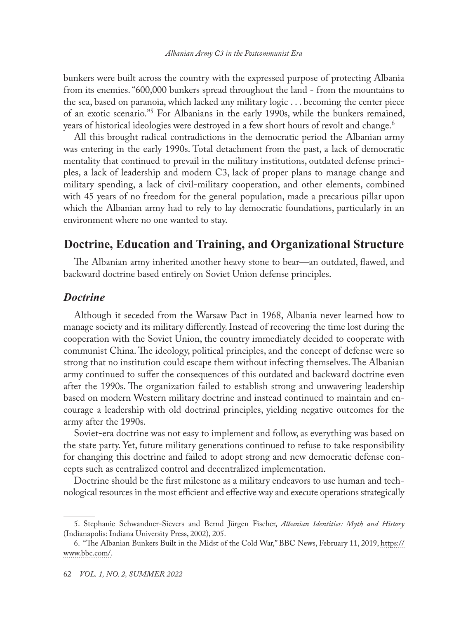bunkers were built across the country with the expressed purpose of protecting Albania from its enemies. "600,000 bunkers spread throughout the land - from the mountains to the sea, based on paranoia, which lacked any military logic . . . becoming the center piece of an exotic scenario."5 For Albanians in the early 1990s, while the bunkers remained, years of historical ideologies were destroyed in a few short hours of revolt and change.<sup>6</sup>

All this brought radical contradictions in the democratic period the Albanian army was entering in the early 1990s. Total detachment from the past, a lack of democratic mentality that continued to prevail in the military institutions, outdated defense principles, a lack of leadership and modern C3, lack of proper plans to manage change and military spending, a lack of civil-military cooperation, and other elements, combined with 45 years of no freedom for the general population, made a precarious pillar upon which the Albanian army had to rely to lay democratic foundations, particularly in an environment where no one wanted to stay.

# **Doctrine, Education and Training, and Organizational Structure**

The Albanian army inherited another heavy stone to bear—an outdated, flawed, and backward doctrine based entirely on Soviet Union defense principles.

#### *Doctrine*

Although it seceded from the Warsaw Pact in 1968, Albania never learned how to manage society and its military differently. Instead of recovering the time lost during the cooperation with the Soviet Union, the country immediately decided to cooperate with communist China. The ideology, political principles, and the concept of defense were so strong that no institution could escape them without infecting themselves. The Albanian army continued to suffer the consequences of this outdated and backward doctrine even after the 1990s. The organization failed to establish strong and unwavering leadership based on modern Western military doctrine and instead continued to maintain and encourage a leadership with old doctrinal principles, yielding negative outcomes for the army after the 1990s.

Soviet-era doctrine was not easy to implement and follow, as everything was based on the state party. Yet, future military generations continued to refuse to take responsibility for changing this doctrine and failed to adopt strong and new democratic defense concepts such as centralized control and decentralized implementation.

Doctrine should be the first milestone as a military endeavors to use human and technological resources in the most efficient and effective way and execute operations strategically

<sup>5.</sup> Stephanie Schwandner-Sievers and Bernd Jürgen Fischer, *Albanian Identities: Myth and History* (Indianapolis: Indiana University Press, 2002), 205.

<sup>6.</sup> "The Albanian Bunkers Built in the Midst of the Cold War," BBC News, February 11, 2019, [https://](https://www.bbc.com/news/in-pictures-47157127) [www.bbc.com/.](https://www.bbc.com/news/in-pictures-47157127)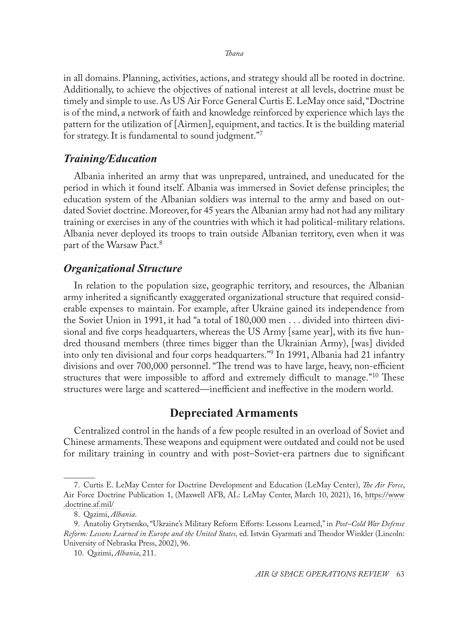*Thana*

in all domains. Planning, activities, actions, and strategy should all be rooted in doctrine. Additionally, to achieve the objectives of national interest at all levels, doctrine must be timely and simple to use. As US Air Force General Curtis E. LeMay once said, "Doctrine is of the mind, a network of faith and knowledge reinforced by experience which lays the pattern for the utilization of [Airmen], equipment, and tactics. It is the building material for strategy. It is fundamental to sound judgment."<sup>7</sup>

#### *Training/Education*

Albania inherited an army that was unprepared, untrained, and uneducated for the period in which it found itself. Albania was immersed in Soviet defense principles; the education system of the Albanian soldiers was internal to the army and based on outdated Soviet doctrine. Moreover, for 45 years the Albanian army had not had any military training or exercises in any of the countries with which it had political-military relations. Albania never deployed its troops to train outside Albanian territory, even when it was part of the Warsaw Pact.<sup>8</sup>

#### *Organizational Structure*

In relation to the population size, geographic territory, and resources, the Albanian army inherited a significantly exaggerated organizational structure that required considerable expenses to maintain. For example, after Ukraine gained its independence from the Soviet Union in 1991, it had "a total of 180,000 men . . . divided into thirteen divisional and five corps headquarters, whereas the US Army [same year], with its five hundred thousand members (three times bigger than the Ukrainian Army), [was] divided into only ten divisional and four corps headquarters."<sup>9</sup> In 1991, Albania had 21 infantry divisions and over 700,000 personnel. "The trend was to have large, heavy, non-efficient structures that were impossible to afford and extremely difficult to manage.<sup>"10</sup> These structures were large and scattered—inefficient and ineffective in the modern world.

# **Depreciated Armaments**

Centralized control in the hands of a few people resulted in an overload of Soviet and Chinese armaments. These weapons and equipment were outdated and could not be used for military training in country and with post–Soviet-era partners due to significant

<sup>7.</sup> Curtis E. LeMay Center for Doctrine Development and Education (LeMay Center), *The Air Force*, Air Force Doctrine Publication 1, (Maxwell AFB, AL: LeMay Center, March 10, 2021), 16, [https://www](file:////Users/lauratimgoodroe/Documents/Work/ASOR/Curtis%20E.%20LeMay%20Center%20for%20Doctrine%20Development%20and%20Education%20(LeMay%20Center),%20The%20Air%20Force,%20Air%20Force%20Doctrine%20Publication%201,%20(Maxwell%20AFB,%20AL:%20LeMay%20Center,%20March%2010,%202021),%20%5bpage%20no%5d,%20https:/www.doctrine.af.mil/Portals/61/documents/AFDP_1/AFDP-1.pdf) [.doctrine.af.mil](file:////Users/lauratimgoodroe/Documents/Work/ASOR/Curtis%20E.%20LeMay%20Center%20for%20Doctrine%20Development%20and%20Education%20(LeMay%20Center),%20The%20Air%20Force,%20Air%20Force%20Doctrine%20Publication%201,%20(Maxwell%20AFB,%20AL:%20LeMay%20Center,%20March%2010,%202021),%20%5bpage%20no%5d,%20https:/www.doctrine.af.mil/Portals/61/documents/AFDP_1/AFDP-1.pdf)/

<sup>8.</sup> Qazimi, *Albania*.

<sup>9.</sup> Anatoliy Grytsenko, "Ukraine's Military Reform Efforts: Lessons Learned," in *Post–Cold War Defense Reform: Lessons Learned in Europe and the United States,* ed. István Gyarmati and Theodor Winkler (Lincoln: University of Nebraska Press, 2002), 96.

<sup>10.</sup> Qazimi, *Albania*, 211.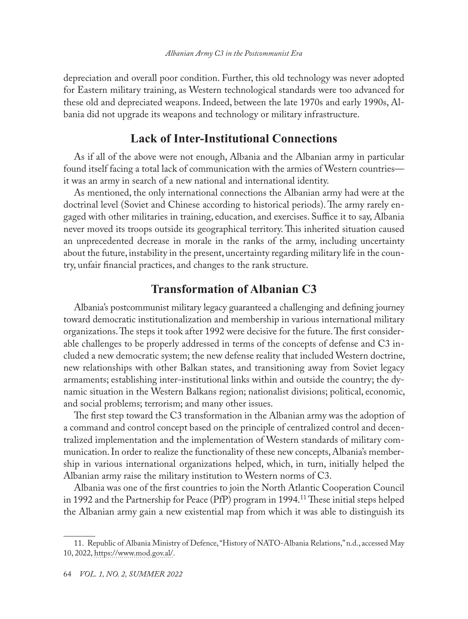depreciation and overall poor condition. Further, this old technology was never adopted for Eastern military training, as Western technological standards were too advanced for these old and depreciated weapons. Indeed, between the late 1970s and early 1990s, Albania did not upgrade its weapons and technology or military infrastructure.

### **Lack of Inter-Institutional Connections**

As if all of the above were not enough, Albania and the Albanian army in particular found itself facing a total lack of communication with the armies of Western countries it was an army in search of a new national and international identity.

As mentioned, the only international connections the Albanian army had were at the doctrinal level (Soviet and Chinese according to historical periods). The army rarely engaged with other militaries in training, education, and exercises. Suffice it to say, Albania never moved its troops outside its geographical territory. This inherited situation caused an unprecedented decrease in morale in the ranks of the army, including uncertainty about the future, instability in the present, uncertainty regarding military life in the country, unfair financial practices, and changes to the rank structure.

# **Transformation of Albanian C3**

Albania's postcommunist military legacy guaranteed a challenging and defining journey toward democratic institutionalization and membership in various international military organizations. The steps it took after 1992 were decisive for the future. The first considerable challenges to be properly addressed in terms of the concepts of defense and C3 included a new democratic system; the new defense reality that included Western doctrine, new relationships with other Balkan states, and transitioning away from Soviet legacy armaments; establishing inter-institutional links within and outside the country; the dynamic situation in the Western Balkans region; nationalist divisions; political, economic, and social problems; terrorism; and many other issues.

The first step toward the C3 transformation in the Albanian army was the adoption of a command and control concept based on the principle of centralized control and decentralized implementation and the implementation of Western standards of military communication. In order to realize the functionality of these new concepts, Albania's membership in various international organizations helped, which, in turn, initially helped the Albanian army raise the military institution to Western norms of C3.

Albania was one of the first countries to join the North Atlantic Cooperation Council in 1992 and the Partnership for Peace (PfP) program in 1994.11 These initial steps helped the Albanian army gain a new existential map from which it was able to distinguish its

<sup>11.</sup> Republic of Albania Ministry of Defence, "History of NATO-Albania Relations," n.d., accessed May 10, 2022, [https://www.mod.gov.al/](https://www.mod.gov.al/eng/index.php/security-policies/relations-with/nato/88-history-of-nato-albania-relations).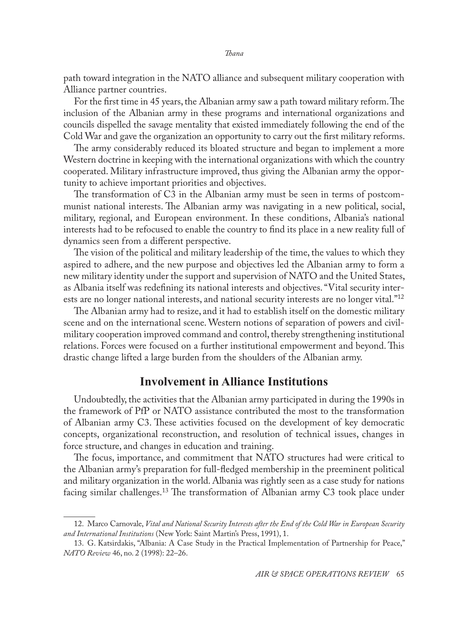path toward integration in the NATO alliance and subsequent military cooperation with Alliance partner countries.

For the first time in 45 years, the Albanian army saw a path toward military reform. The inclusion of the Albanian army in these programs and international organizations and councils dispelled the savage mentality that existed immediately following the end of the Cold War and gave the organization an opportunity to carry out the first military reforms.

The army considerably reduced its bloated structure and began to implement a more Western doctrine in keeping with the international organizations with which the country cooperated. Military infrastructure improved, thus giving the Albanian army the opportunity to achieve important priorities and objectives.

The transformation of C3 in the Albanian army must be seen in terms of postcommunist national interests. The Albanian army was navigating in a new political, social, military, regional, and European environment. In these conditions, Albania's national interests had to be refocused to enable the country to find its place in a new reality full of dynamics seen from a different perspective.

The vision of the political and military leadership of the time, the values to which they aspired to adhere, and the new purpose and objectives led the Albanian army to form a new military identity under the support and supervision of NATO and the United States, as Albania itself was redefining its national interests and objectives. "Vital security interests are no longer national interests, and national security interests are no longer vital."12

The Albanian army had to resize, and it had to establish itself on the domestic military scene and on the international scene. Western notions of separation of powers and civilmilitary cooperation improved command and control, thereby strengthening institutional relations. Forces were focused on a further institutional empowerment and beyond. This drastic change lifted a large burden from the shoulders of the Albanian army.

#### **Involvement in Alliance Institutions**

Undoubtedly, the activities that the Albanian army participated in during the 1990s in the framework of PfP or NATO assistance contributed the most to the transformation of Albanian army C3. These activities focused on the development of key democratic concepts, organizational reconstruction, and resolution of technical issues, changes in force structure, and changes in education and training.

The focus, importance, and commitment that NATO structures had were critical to the Albanian army's preparation for full-fledged membership in the preeminent political and military organization in the world. Albania was rightly seen as a case study for nations facing similar challenges.13 The transformation of Albanian army C3 took place under

<sup>12.</sup> Marco Carnovale, *Vital and National Security Interests after the End of the Cold War in European Security and International Institutions* (New York: Saint Martin's Press, 1991), 1.

<sup>13.</sup> G. Katsirdakis, "Albania: A Case Study in the Practical Implementation of Partnership for Peace," *NATO Review* 46, no. 2 (1998): 22–26.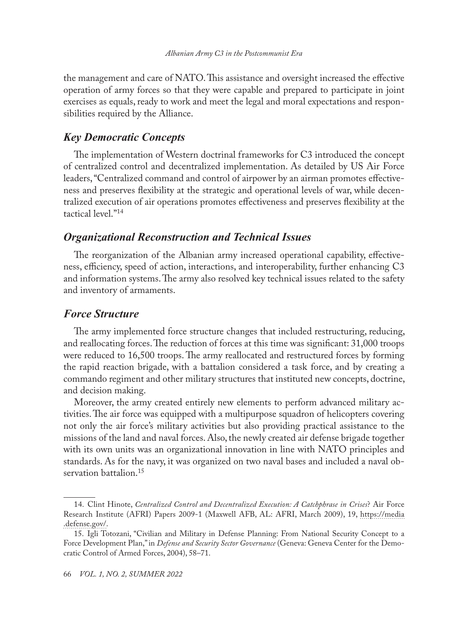the management and care of NATO. This assistance and oversight increased the effective operation of army forces so that they were capable and prepared to participate in joint exercises as equals, ready to work and meet the legal and moral expectations and responsibilities required by the Alliance.

#### *Key Democratic Concepts*

The implementation of Western doctrinal frameworks for C3 introduced the concept of centralized control and decentralized implementation. As detailed by US Air Force leaders, "Centralized command and control of airpower by an airman promotes effectiveness and preserves flexibility at the strategic and operational levels of war, while decentralized execution of air operations promotes effectiveness and preserves flexibility at the tactical level."14

#### *Organizational Reconstruction and Technical Issues*

The reorganization of the Albanian army increased operational capability, effectiveness, efficiency, speed of action, interactions, and interoperability, further enhancing C3 and information systems. The army also resolved key technical issues related to the safety and inventory of armaments.

#### *Force Structure*

The army implemented force structure changes that included restructuring, reducing, and reallocating forces. The reduction of forces at this time was significant: 31,000 troops were reduced to 16,500 troops. The army reallocated and restructured forces by forming the rapid reaction brigade, with a battalion considered a task force, and by creating a commando regiment and other military structures that instituted new concepts, doctrine, and decision making.

Moreover, the army created entirely new elements to perform advanced military activities. The air force was equipped with a multipurpose squadron of helicopters covering not only the air force's military activities but also providing practical assistance to the missions of the land and naval forces. Also, the newly created air defense brigade together with its own units was an organizational innovation in line with NATO principles and standards. As for the navy, it was organized on two naval bases and included a naval observation battalion.<sup>15</sup>

<sup>14.</sup> Clint Hinote, *Centralized Control and Decentralized Execution: A Catchphrase in Crises*? Air Force Research Institute (AFRI) Papers 2009-1 (Maxwell AFB, AL: AFRI, March 2009), 19, [https://media](https://media.defense.gov/2017/Jun/19/2001764937/-1/-1/0/AP_0006_HINOTE_CENTRALIZED_CONTROL_DECENTRALIZED_EXECUTION.PDF) [.defense.gov/.](https://media.defense.gov/2017/Jun/19/2001764937/-1/-1/0/AP_0006_HINOTE_CENTRALIZED_CONTROL_DECENTRALIZED_EXECUTION.PDF)

<sup>15.</sup> Igli Totozani, "Civilian and Military in Defense Planning: From National Security Concept to a Force Development Plan," in *Defense and Security Sector Governance* (Geneva: Geneva Center for the Democratic Control of Armed Forces, 2004), 58–71.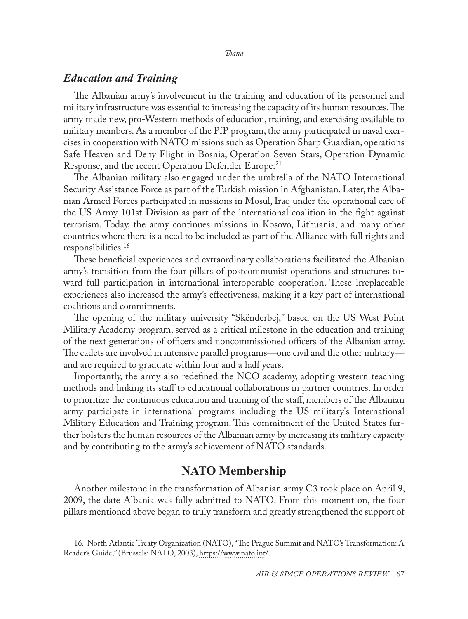#### *Education and Training*

The Albanian army's involvement in the training and education of its personnel and military infrastructure was essential to increasing the capacity of its human resources. The army made new, pro-Western methods of education, training, and exercising available to military members. As a member of the PfP program, the army participated in naval exercises in cooperation with NATO missions such as Operation Sharp Guardian, operations Safe Heaven and Deny Flight in Bosnia, Operation Seven Stars, Operation Dynamic Response, and the recent Operation Defender Europe.<sup>21</sup>

The Albanian military also engaged under the umbrella of the NATO International Security Assistance Force as part of the Turkish mission in Afghanistan. Later, the Albanian Armed Forces participated in missions in Mosul, Iraq under the operational care of the US Army 101st Division as part of the international coalition in the fight against terrorism. Today, the army continues missions in Kosovo, Lithuania, and many other countries where there is a need to be included as part of the Alliance with full rights and responsibilities.16

These beneficial experiences and extraordinary collaborations facilitated the Albanian army's transition from the four pillars of postcommunist operations and structures toward full participation in international interoperable cooperation. These irreplaceable experiences also increased the army's effectiveness, making it a key part of international coalitions and commitments.

The opening of the military university "Skënderbej," based on the US West Point Military Academy program, served as a critical milestone in the education and training of the next generations of officers and noncommissioned officers of the Albanian army. The cadets are involved in intensive parallel programs—one civil and the other military and are required to graduate within four and a half years.

Importantly, the army also redefined the NCO academy, adopting western teaching methods and linking its staff to educational collaborations in partner countries. In order to prioritize the continuous education and training of the staff, members of the Albanian army participate in international programs including the US military's International Military Education and Training program. This commitment of the United States further bolsters the human resources of the Albanian army by increasing its military capacity and by contributing to the army's achievement of NATO standards.

#### **NATO Membership**

Another milestone in the transformation of Albanian army C3 took place on April 9, 2009, the date Albania was fully admitted to NATO. From this moment on, the four pillars mentioned above began to truly transform and greatly strengthened the support of

<sup>16.</sup> North Atlantic Treaty Organization (NATO), "The Prague Summit and NATO's Transformation: A Reader's Guide," (Brussels: NATO, 2003), [https://www.nato.int/.](https://www.nato.int/docu/rdr-gde-prg/rdr-gde-prg-eng.pdf)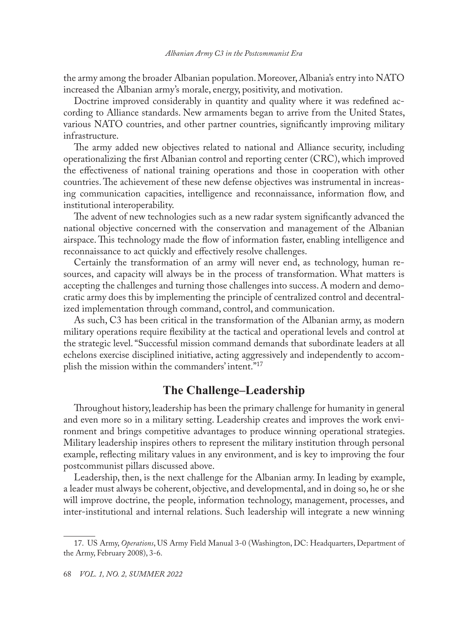the army among the broader Albanian population. Moreover, Albania's entry into NATO increased the Albanian army's morale, energy, positivity, and motivation.

Doctrine improved considerably in quantity and quality where it was redefined according to Alliance standards. New armaments began to arrive from the United States, various NATO countries, and other partner countries, significantly improving military infrastructure.

The army added new objectives related to national and Alliance security, including operationalizing the first Albanian control and reporting center (CRC), which improved the effectiveness of national training operations and those in cooperation with other countries. The achievement of these new defense objectives was instrumental in increasing communication capacities, intelligence and reconnaissance, information flow, and institutional interoperability.

The advent of new technologies such as a new radar system significantly advanced the national objective concerned with the conservation and management of the Albanian airspace. This technology made the flow of information faster, enabling intelligence and reconnaissance to act quickly and effectively resolve challenges.

Certainly the transformation of an army will never end, as technology, human resources, and capacity will always be in the process of transformation. What matters is accepting the challenges and turning those challenges into success. A modern and democratic army does this by implementing the principle of centralized control and decentralized implementation through command, control, and communication.

As such, C3 has been critical in the transformation of the Albanian army, as modern military operations require flexibility at the tactical and operational levels and control at the strategic level. "Successful mission command demands that subordinate leaders at all echelons exercise disciplined initiative, acting aggressively and independently to accomplish the mission within the commanders' intent."17

#### **The Challenge–Leadership**

Throughout history, leadership has been the primary challenge for humanity in general and even more so in a military setting. Leadership creates and improves the work environment and brings competitive advantages to produce winning operational strategies. Military leadership inspires others to represent the military institution through personal example, reflecting military values in any environment, and is key to improving the four postcommunist pillars discussed above.

Leadership, then, is the next challenge for the Albanian army. In leading by example, a leader must always be coherent, objective, and developmental, and in doing so, he or she will improve doctrine, the people, information technology, management, processes, and inter-institutional and internal relations. Such leadership will integrate a new winning

<sup>17.</sup> US Army, *Operations*, US Army Field Manual 3-0 (Washington, DC: Headquarters, Department of the Army, February 2008), 3-6.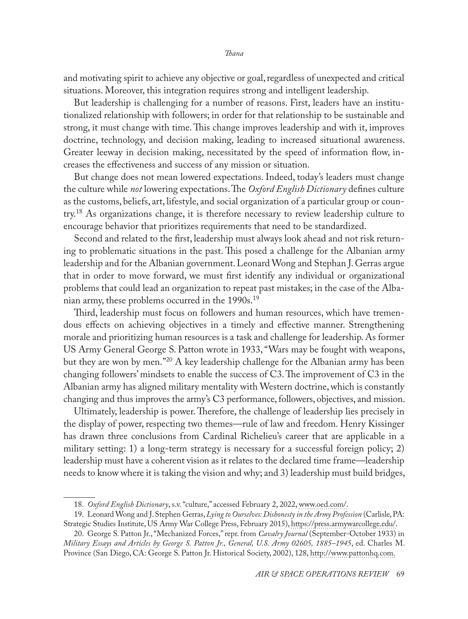and motivating spirit to achieve any objective or goal, regardless of unexpected and critical situations. Moreover, this integration requires strong and intelligent leadership.

But leadership is challenging for a number of reasons. First, leaders have an institutionalized relationship with followers; in order for that relationship to be sustainable and strong, it must change with time. This change improves leadership and with it, improves doctrine, technology, and decision making, leading to increased situational awareness. Greater leeway in decision making, necessitated by the speed of information flow, increases the effectiveness and success of any mission or situation.

But change does not mean lowered expectations. Indeed, today's leaders must change the culture while *not* lowering expectations. The *Oxford English Dictionary* defines culture as the customs, beliefs, art, lifestyle, and social organization of a particular group or coun- $\text{try.}^{18}$  As organizations change, it is therefore necessary to review leadership culture to encourage behavior that prioritizes requirements that need to be standardized.

Second and related to the first, leadership must always look ahead and not risk returning to problematic situations in the past. This posed a challenge for the Albanian army leadership and for the Albanian government. Leonard Wong and Stephan J. Gerras argue that in order to move forward, we must first identify any individual or organizational problems that could lead an organization to repeat past mistakes; in the case of the Albanian army, these problems occurred in the 1990s.19

Third, leadership must focus on followers and human resources, which have tremendous effects on achieving objectives in a timely and effective manner. Strengthening morale and prioritizing human resources is a task and challenge for leadership. As former US Army General George S. Patton wrote in 1933, "Wars may be fought with weapons, but they are won by men."20 A key leadership challenge for the Albanian army has been changing followers' mindsets to enable the success of C3. The improvement of C3 in the Albanian army has aligned military mentality with Western doctrine, which is constantly changing and thus improves the army's C3 performance, followers, objectives, and mission.

Ultimately, leadership is power. Therefore, the challenge of leadership lies precisely in the display of power, respecting two themes—rule of law and freedom. Henry Kissinger has drawn three conclusions from Cardinal Richelieu's career that are applicable in a military setting: 1) a long-term strategy is necessary for a successful foreign policy; 2) leadership must have a coherent vision as it relates to the declared time frame—leadership needs to know where it is taking the vision and why; and 3) leadership must build bridges,

<sup>18.</sup> *Oxford English Dictionary*, s.v. "culture," accessed February 2, 2022, [www.oed.com/](https://www.oed.com/oed2/00055636).

<sup>19.</sup> Leonard Wong and J. Stephen Gerras, *Lying to Ourselves: Dishonesty in the Army Profession* (Carlisle, PA: Strategic Studies Institute, US Army War College Press, February 2015), [https://press.armywarcollege.edu/.](https://press.armywarcollege.edu/monographs/466/)

<sup>20.</sup> George S. Patton Jr., "Mechanized Forces," repr. from *Cavalry Journal* (September-October 1933) in *Military Essays and Articles by George S. Patton Jr., General, U.S. Army 02605, 1885–1945*, ed. Charles M. Province (San Diego, CA: George S. Patton Jr. Historical Society, 2002), 128, [http://www.pattonhq.com](http://www.pattonhq.com/pdffiles/vintagetext.pdf).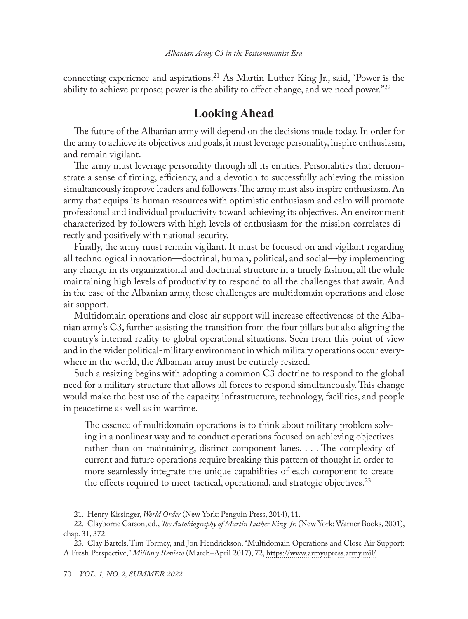connecting experience and aspirations.<sup>21</sup> As Martin Luther King Jr., said, "Power is the ability to achieve purpose; power is the ability to effect change, and we need power."22

## **Looking Ahead**

The future of the Albanian army will depend on the decisions made today. In order for the army to achieve its objectives and goals, it must leverage personality, inspire enthusiasm, and remain vigilant.

The army must leverage personality through all its entities. Personalities that demonstrate a sense of timing, efficiency, and a devotion to successfully achieving the mission simultaneously improve leaders and followers. The army must also inspire enthusiasm. An army that equips its human resources with optimistic enthusiasm and calm will promote professional and individual productivity toward achieving its objectives. An environment characterized by followers with high levels of enthusiasm for the mission correlates directly and positively with national security.

Finally, the army must remain vigilant. It must be focused on and vigilant regarding all technological innovation—doctrinal, human, political, and social—by implementing any change in its organizational and doctrinal structure in a timely fashion, all the while maintaining high levels of productivity to respond to all the challenges that await. And in the case of the Albanian army, those challenges are multidomain operations and close air support.

Multidomain operations and close air support will increase effectiveness of the Albanian army's C3, further assisting the transition from the four pillars but also aligning the country's internal reality to global operational situations. Seen from this point of view and in the wider political-military environment in which military operations occur everywhere in the world, the Albanian army must be entirely resized.

Such a resizing begins with adopting a common C3 doctrine to respond to the global need for a military structure that allows all forces to respond simultaneously. This change would make the best use of the capacity, infrastructure, technology, facilities, and people in peacetime as well as in wartime.

The essence of multidomain operations is to think about military problem solving in a nonlinear way and to conduct operations focused on achieving objectives rather than on maintaining, distinct component lanes. . . . The complexity of current and future operations require breaking this pattern of thought in order to more seamlessly integrate the unique capabilities of each component to create the effects required to meet tactical, operational, and strategic objectives.<sup>23</sup>

<sup>21.</sup> Henry Kissinger, *World Order* (New York: Penguin Press, 2014), 11.

<sup>22.</sup> Clayborne Carson, ed., *The Autobiography of Martin Luther King, Jr.* (New York: Warner Books, 2001), chap. 31, 372.

<sup>23.</sup> Clay Bartels, Tim Tormey, and Jon Hendrickson, "Multidomain Operations and Close Air Support: A Fresh Perspective," *Military Review* (March–April 2017), 72, [https://www.armyupress.army.mil/.](https://www.armyupress.army.mil/Journals/Military-Review/English-Edition-Archives/March-April-2017/ART-001/)